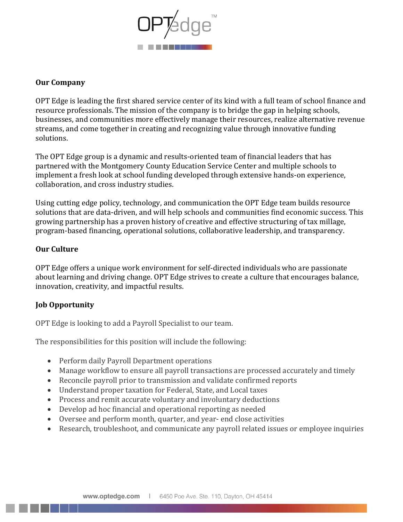

## **Our Company**

OPT Edge is leading the first shared service center of its kind with a full team of school finance and resource professionals. The mission of the company is to bridge the gap in helping schools, businesses, and communities more effectively manage their resources, realize alternative revenue streams, and come together in creating and recognizing value through innovative funding solutions.

The OPT Edge group is a dynamic and results-oriented team of financial leaders that has partnered with the Montgomery County Education Service Center and multiple schools to implement a fresh look at school funding developed through extensive hands-on experience, collaboration, and cross industry studies.

Using cutting edge policy, technology, and communication the OPT Edge team builds resource solutions that are data-driven, and will help schools and communities find economic success. This growing partnership has a proven history of creative and effective structuring of tax millage, program-based financing, operational solutions, collaborative leadership, and transparency.

# **Our Culture**

OPT Edge offers a unique work environment for self-directed individuals who are passionate about learning and driving change. OPT Edge strives to create a culture that encourages balance, innovation, creativity, and impactful results.

# **Job Opportunity**

OPT Edge is looking to add a Payroll Specialist to our team.

The responsibilities for this position will include the following:

- Perform daily Payroll Department operations
- Manage workflow to ensure all payroll transactions are processed accurately and timely
- Reconcile payroll prior to transmission and validate confirmed reports
- Understand proper taxation for Federal, State, and Local taxes
- Process and remit accurate voluntary and involuntary deductions
- Develop ad hoc financial and operational reporting as needed
- Oversee and perform month, quarter, and year- end close activities
- Research, troubleshoot, and communicate any payroll related issues or employee inquiries